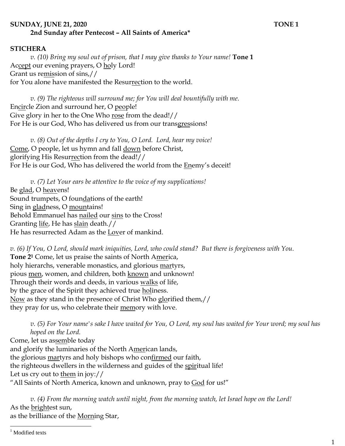## **SUNDAY, JUNE 21, 2020 TONE 1 2nd Sunday after Pentecost – All Saints of America\***

## **STICHERA**

*v. (10) Bring my soul out of prison, that I may give thanks to Your name!* **Tone 1** Accept our evening prayers, O holy Lord! Grant us remission of sins,// for You alone have manifested the Resurrection to the world.

*v.* (9) The righteous will surround me; for You will deal bountifully with me. Encircle Zion and surround her, O people! Give glory in her to the One Who rose from the dead!// For He is our God, Who has delivered us from our transgressions!

*v. (8) Out of the depths I cry to You, O Lord. Lord, hear my voice!*  Come, O people, let us hymn and fall down before Christ, glorifying His Resurrection from the dead!// For He is our God, Who has delivered the world from the Enemy's deceit!

*v. (7) Let Your ears be attentive to the voice of my supplications!* Be glad, O heavens! Sound trumpets, O foundations of the earth! Sing in gladness, O mountains! Behold Emmanuel has nailed our sins to the Cross! Granting life, He has slain death.// He has resurrected Adam as the Lover of mankind.

*v. (6) If You, O Lord, should mark iniquities, Lord, who could stand? But there is forgiveness with You.*  **Tone 2<sup>1</sup>** Come, let us praise the saints of North America, holy hierarchs, venerable monastics, and glorious martyrs, pious men, women, and children, both known and unknown! Through their words and deeds, in various walks of life, by the grace of the Spirit they achieved true holiness. Now as they stand in the presence of Christ Who glorified them,// they pray for us, who celebrate their memory with love.

*v. (5) For Your name's sake I have waited for You, O Lord, my soul has waited for Your word; my soul has hoped on the Lord.*  Come, let us assemble today

and glorify the luminaries of the North American lands, the glorious martyrs and holy bishops who confirmed our faith, the righteous dwellers in the wilderness and guides of the spiritual life! Let us cry out to them in joy:// "All Saints of North America, known and unknown, pray to God for us!"

*v. (4) From the morning watch until night, from the morning watch, let Israel hope on the Lord!*  As the brightest sun, as the brilliance of the Morning Star,

 $\overline{a}$ 

<sup>&</sup>lt;sup>1</sup> Modified texts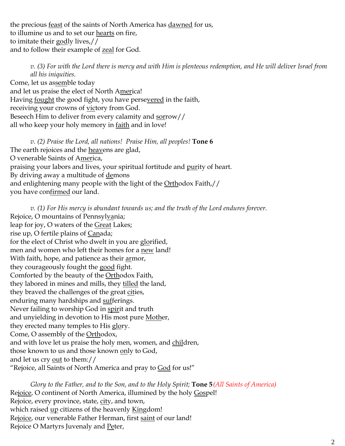the precious feast of the saints of North America has dawned for us, to illumine us and to set our hearts on fire, to imitate their godly lives,// and to follow their example of zeal for God.

*v. (3) For with the Lord there is mercy and with Him is plenteous redemption, and He will deliver Israel from all his iniquities.* Come, let us assemble today and let us praise the elect of North America! Having fought the good fight, you have persevered in the faith, receiving your crowns of victory from God. Beseech Him to deliver from every calamity and sorrow// all who keep your holy memory in faith and in love!

*v. (2) Praise the Lord, all nations! Praise Him, all peoples!* **Tone 6** The earth rejoices and the heavens are glad, O venerable Saints of America, praising your labors and lives, your spiritual fortitude and purity of heart. By driving away a multitude of demons and enlightening many people with the light of the Orthodox Faith,// you have confirmed our land.

*v. (1) For His mercy is abundant towards us; and the truth of the Lord endures forever.*  Rejoice, O mountains of Pennsylvania; leap for joy, O waters of the Great Lakes; rise up, O fertile plains of Canada; for the elect of Christ who dwelt in you are glorified, men and women who left their homes for a new land! With faith, hope, and patience as their **armor**, they courageously fought the good fight. Comforted by the beauty of the Orthodox Faith, they labored in mines and mills, they tilled the land, they braved the challenges of the great cities, enduring many hardships and sufferings. Never failing to worship God in spirit and truth and unyielding in devotion to His most pure Mother, they erected many temples to His glory. Come, O assembly of the Orthodox, and with love let us praise the holy men, women, and children, those known to us and those known only to God, and let us cry out to them:// "Rejoice, all Saints of North America and pray to God for us!"

*Glory to the Father, and to the Son, and to the Holy Spirit;* **Tone 5***(All Saints of America)* Rejoice, O continent of North America, illumined by the holy Gospel! Rejoice, every province, state, city, and town, which raised up citizens of the heavenly Kingdom! Rejoice, our venerable Father Herman, first saint of our land! Rejoice O Martyrs Juvenaly and Peter,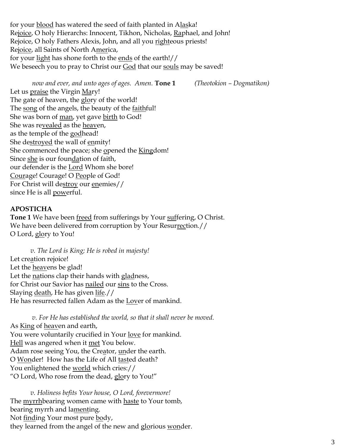for your blood has watered the seed of faith planted in Alaska! Rejoice, O holy Hierarchs: Innocent, Tikhon, Nicholas, Raphael, and John! Rejoice, O holy Fathers Alexis, John, and all you righteous priests! Rejoice, all Saints of North America, for your light has shone forth to the ends of the earth!// We beseech you to pray to Christ our God that our souls may be saved!

*now and ever, and unto ages of ages. Amen.* **Tone 1** *(Theotokion – Dogmatikon)* Let us praise the Virgin Mary! The gate of heaven, the glory of the world! The song of the angels, the beauty of the faithful! She was born of man, yet gave birth to God! She was revealed as the heaven, as the temple of the godhead! She destroyed the wall of enmity! She commenced the peace; she opened the Kingdom! Since she is our foundation of faith, our defender is the Lord Whom she bore! Courage! Courage! O People of God! For Christ will destroy our enemies// since He is all powerful.

## **APOSTICHA**

**Tone 1** We have been freed from sufferings by Your suffering, O Christ. We have been delivered from corruption by Your Resurrection.// O Lord, glory to You!

*v. The Lord is King; He is robed in majesty!*  Let creation rejoice! Let the **heavens** be glad! Let the nations clap their hands with gladness, for Christ our Savior has nailed our sins to the Cross. Slaying death, He has given life.// He has resurrected fallen Adam as the Lover of mankind.

*v. For He has established the world, so that it shall never be moved.* As King of heaven and earth, You were voluntarily crucified in Your love for mankind. Hell was angered when it met You below. Adam rose seeing You, the Creator, under the earth. O Wonder! How has the Life of All tasted death? You enlightened the world which cries:// "O Lord, Who rose from the dead, glory to You!"

*v. Holiness befits Your house, O Lord, forevermore!*  The myrrhbearing women came with haste to Your tomb, bearing myrrh and lamenting. Not finding Your most pure body, they learned from the angel of the new and glorious wonder.